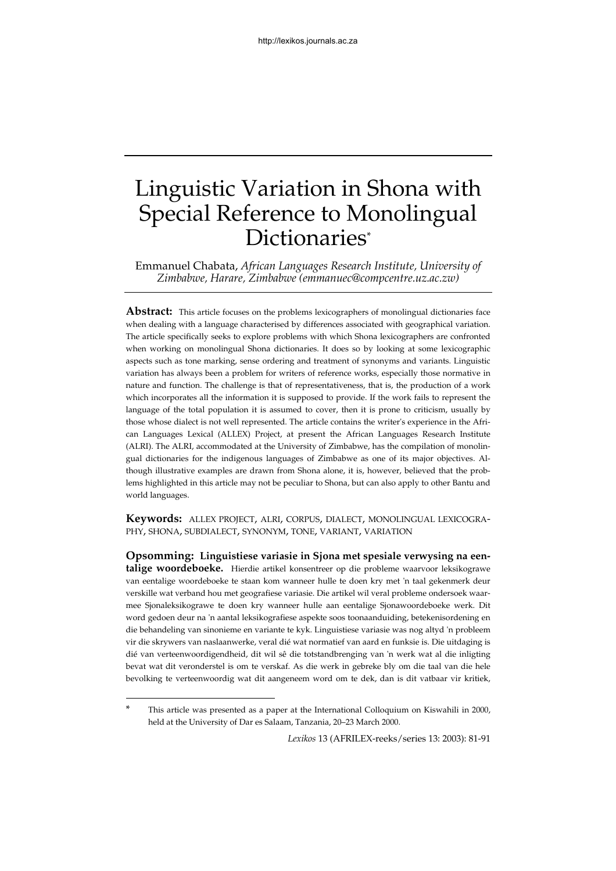# Linguistic Variation in Shona with Special Reference to Monolingual Dictionaries[\\*](#page-0-0)

Emmanuel Chabata, *African Languages Research Institute, University of Zimbabwe, Harare, Zimbabwe (emmanuec@compcentre.uz.ac.zw)*

**Abstract:** This article focuses on the problems lexicographers of monolingual dictionaries face when dealing with a language characterised by differences associated with geographical variation. The article specifically seeks to explore problems with which Shona lexicographers are confronted when working on monolingual Shona dictionaries. It does so by looking at some lexicographic aspects such as tone marking, sense ordering and treatment of synonyms and variants. Linguistic variation has always been a problem for writers of reference works, especially those normative in nature and function. The challenge is that of representativeness, that is, the production of a work which incorporates all the information it is supposed to provide. If the work fails to represent the language of the total population it is assumed to cover, then it is prone to criticism, usually by those whose dialect is not well represented. The article contains the writer's experience in the African Languages Lexical (ALLEX) Project, at present the African Languages Research Institute (ALRI). The ALRI, accommodated at the University of Zimbabwe, has the compilation of monolingual dictionaries for the indigenous languages of Zimbabwe as one of its major objectives. Although illustrative examples are drawn from Shona alone, it is, however, believed that the problems highlighted in this article may not be peculiar to Shona, but can also apply to other Bantu and world languages.

**Keywords:** ALLEX PROJECT, ALRI, CORPUS, DIALECT, MONOLINGUAL LEXICOGRA-PHY, SHONA, SUBDIALECT, SYNONYM, TONE, VARIANT, VARIATION

**Opsomming: Linguistiese variasie in Sjona met spesiale verwysing na eentalige woordeboeke.** Hierdie artikel konsentreer op die probleme waarvoor leksikograwe van eentalige woordeboeke te staan kom wanneer hulle te doen kry met 'n taal gekenmerk deur verskille wat verband hou met geografiese variasie. Die artikel wil veral probleme ondersoek waarmee Sjonaleksikograwe te doen kry wanneer hulle aan eentalige Sjonawoordeboeke werk. Dit word gedoen deur na 'n aantal leksikografiese aspekte soos toonaanduiding, betekenisordening en die behandeling van sinonieme en variante te kyk. Linguistiese variasie was nog altyd 'n probleem vir die skrywers van naslaanwerke, veral dié wat normatief van aard en funksie is. Die uitdaging is dié van verteenwoordigendheid, dit wil sê die totstandbrenging van 'n werk wat al die inligting bevat wat dit veronderstel is om te verskaf. As die werk in gebreke bly om die taal van die hele bevolking te verteenwoordig wat dit aangeneem word om te dek, dan is dit vatbaar vir kritiek,

l

<span id="page-0-0"></span>This article was presented as a paper at the International Colloquium on Kiswahili in 2000, held at the University of Dar es Salaam, Tanzania, 20–23 March 2000.

*Lexikos* 13 (AFRILEX-reeks/series 13: 2003): 81-91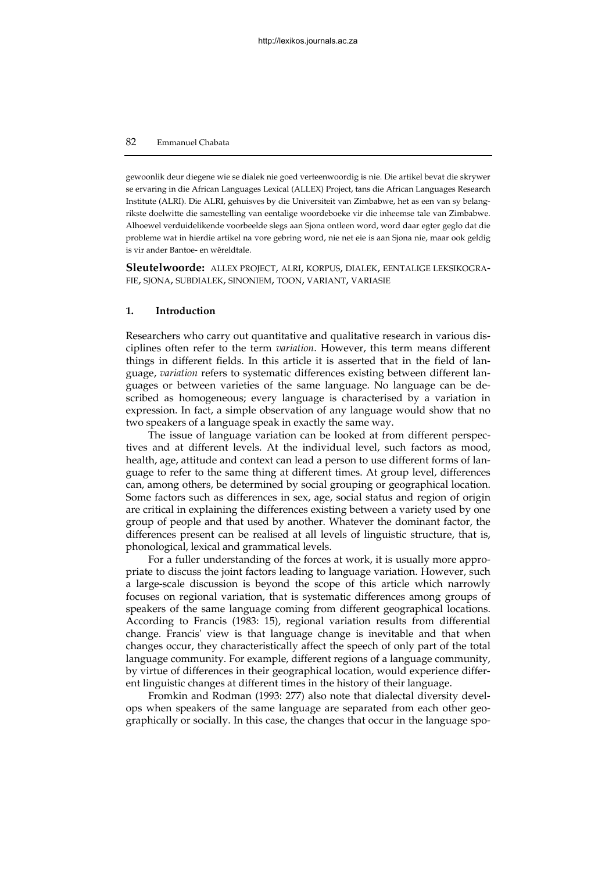gewoonlik deur diegene wie se dialek nie goed verteenwoordig is nie. Die artikel bevat die skrywer se ervaring in die African Languages Lexical (ALLEX) Project, tans die African Languages Research Institute (ALRI). Die ALRI, gehuisves by die Universiteit van Zimbabwe, het as een van sy belangrikste doelwitte die samestelling van eentalige woordeboeke vir die inheemse tale van Zimbabwe. Alhoewel verduidelikende voorbeelde slegs aan Sjona ontleen word, word daar egter geglo dat die probleme wat in hierdie artikel na vore gebring word, nie net eie is aan Sjona nie, maar ook geldig is vir ander Bantoe- en wêreldtale.

**Sleutelwoorde:** ALLEX PROJECT, ALRI, KORPUS, DIALEK, EENTALIGE LEKSIKOGRA-FIE, SJONA, SUBDIALEK, SINONIEM, TOON, VARIANT, VARIASIE

### **1. Introduction**

Researchers who carry out quantitative and qualitative research in various disciplines often refer to the term *variation*. However, this term means different things in different fields. In this article it is asserted that in the field of language, *variation* refers to systematic differences existing between different languages or between varieties of the same language. No language can be described as homogeneous; every language is characterised by a variation in expression. In fact, a simple observation of any language would show that no two speakers of a language speak in exactly the same way.

The issue of language variation can be looked at from different perspectives and at different levels. At the individual level, such factors as mood, health, age, attitude and context can lead a person to use different forms of language to refer to the same thing at different times. At group level, differences can, among others, be determined by social grouping or geographical location. Some factors such as differences in sex, age, social status and region of origin are critical in explaining the differences existing between a variety used by one group of people and that used by another. Whatever the dominant factor, the differences present can be realised at all levels of linguistic structure, that is, phonological, lexical and grammatical levels.

For a fuller understanding of the forces at work, it is usually more appropriate to discuss the joint factors leading to language variation. However, such a large-scale discussion is beyond the scope of this article which narrowly focuses on regional variation, that is systematic differences among groups of speakers of the same language coming from different geographical locations. According to Francis (1983: 15), regional variation results from differential change. Francis' view is that language change is inevitable and that when changes occur, they characteristically affect the speech of only part of the total language community. For example, different regions of a language community, by virtue of differences in their geographical location, would experience different linguistic changes at different times in the history of their language.

Fromkin and Rodman (1993: 277) also note that dialectal diversity develops when speakers of the same language are separated from each other geographically or socially. In this case, the changes that occur in the language spo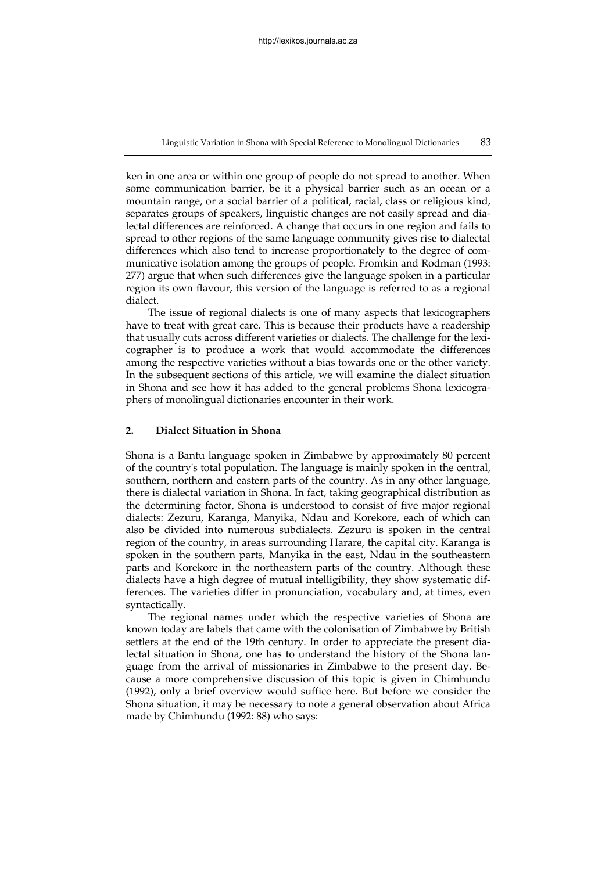Linguistic Variation in Shona with Special Reference to Monolingual Dictionaries 83

ken in one area or within one group of people do not spread to another. When some communication barrier, be it a physical barrier such as an ocean or a mountain range, or a social barrier of a political, racial, class or religious kind, separates groups of speakers, linguistic changes are not easily spread and dialectal differences are reinforced. A change that occurs in one region and fails to spread to other regions of the same language community gives rise to dialectal differences which also tend to increase proportionately to the degree of communicative isolation among the groups of people. Fromkin and Rodman (1993: 277) argue that when such differences give the language spoken in a particular region its own flavour, this version of the language is referred to as a regional dialect.

The issue of regional dialects is one of many aspects that lexicographers have to treat with great care. This is because their products have a readership that usually cuts across different varieties or dialects. The challenge for the lexicographer is to produce a work that would accommodate the differences among the respective varieties without a bias towards one or the other variety. In the subsequent sections of this article, we will examine the dialect situation in Shona and see how it has added to the general problems Shona lexicographers of monolingual dictionaries encounter in their work.

# **2. Dialect Situation in Shona**

Shona is a Bantu language spoken in Zimbabwe by approximately 80 percent of the country's total population. The language is mainly spoken in the central, southern, northern and eastern parts of the country. As in any other language, there is dialectal variation in Shona. In fact, taking geographical distribution as the determining factor, Shona is understood to consist of five major regional dialects: Zezuru, Karanga, Manyika, Ndau and Korekore, each of which can also be divided into numerous subdialects. Zezuru is spoken in the central region of the country, in areas surrounding Harare, the capital city. Karanga is spoken in the southern parts, Manyika in the east, Ndau in the southeastern parts and Korekore in the northeastern parts of the country. Although these dialects have a high degree of mutual intelligibility, they show systematic differences. The varieties differ in pronunciation, vocabulary and, at times, even syntactically.

The regional names under which the respective varieties of Shona are known today are labels that came with the colonisation of Zimbabwe by British settlers at the end of the 19th century. In order to appreciate the present dialectal situation in Shona, one has to understand the history of the Shona language from the arrival of missionaries in Zimbabwe to the present day. Because a more comprehensive discussion of this topic is given in Chimhundu (1992), only a brief overview would suffice here. But before we consider the Shona situation, it may be necessary to note a general observation about Africa made by Chimhundu (1992: 88) who says: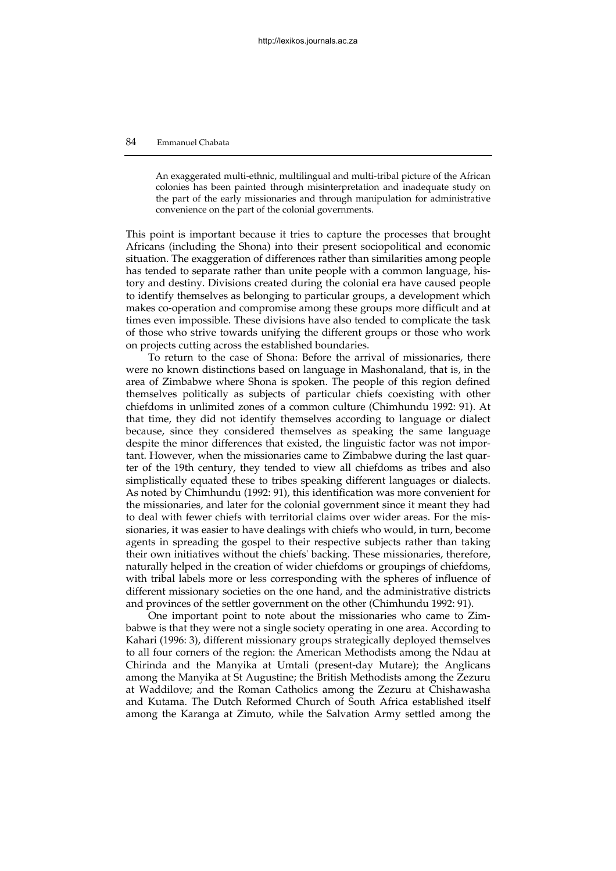An exaggerated multi-ethnic, multilingual and multi-tribal picture of the African colonies has been painted through misinterpretation and inadequate study on the part of the early missionaries and through manipulation for administrative convenience on the part of the colonial governments.

This point is important because it tries to capture the processes that brought Africans (including the Shona) into their present sociopolitical and economic situation. The exaggeration of differences rather than similarities among people has tended to separate rather than unite people with a common language, history and destiny. Divisions created during the colonial era have caused people to identify themselves as belonging to particular groups, a development which makes co-operation and compromise among these groups more difficult and at times even impossible. These divisions have also tended to complicate the task of those who strive towards unifying the different groups or those who work on projects cutting across the established boundaries.

To return to the case of Shona: Before the arrival of missionaries, there were no known distinctions based on language in Mashonaland, that is, in the area of Zimbabwe where Shona is spoken. The people of this region defined themselves politically as subjects of particular chiefs coexisting with other chiefdoms in unlimited zones of a common culture (Chimhundu 1992: 91). At that time, they did not identify themselves according to language or dialect because, since they considered themselves as speaking the same language despite the minor differences that existed, the linguistic factor was not important. However, when the missionaries came to Zimbabwe during the last quarter of the 19th century, they tended to view all chiefdoms as tribes and also simplistically equated these to tribes speaking different languages or dialects. As noted by Chimhundu (1992: 91), this identification was more convenient for the missionaries, and later for the colonial government since it meant they had to deal with fewer chiefs with territorial claims over wider areas. For the missionaries, it was easier to have dealings with chiefs who would, in turn, become agents in spreading the gospel to their respective subjects rather than taking their own initiatives without the chiefs' backing. These missionaries, therefore, naturally helped in the creation of wider chiefdoms or groupings of chiefdoms, with tribal labels more or less corresponding with the spheres of influence of different missionary societies on the one hand, and the administrative districts and provinces of the settler government on the other (Chimhundu 1992: 91).

One important point to note about the missionaries who came to Zimbabwe is that they were not a single society operating in one area. According to Kahari (1996: 3), different missionary groups strategically deployed themselves to all four corners of the region: the American Methodists among the Ndau at Chirinda and the Manyika at Umtali (present-day Mutare); the Anglicans among the Manyika at St Augustine; the British Methodists among the Zezuru at Waddilove; and the Roman Catholics among the Zezuru at Chishawasha and Kutama. The Dutch Reformed Church of South Africa established itself among the Karanga at Zimuto, while the Salvation Army settled among the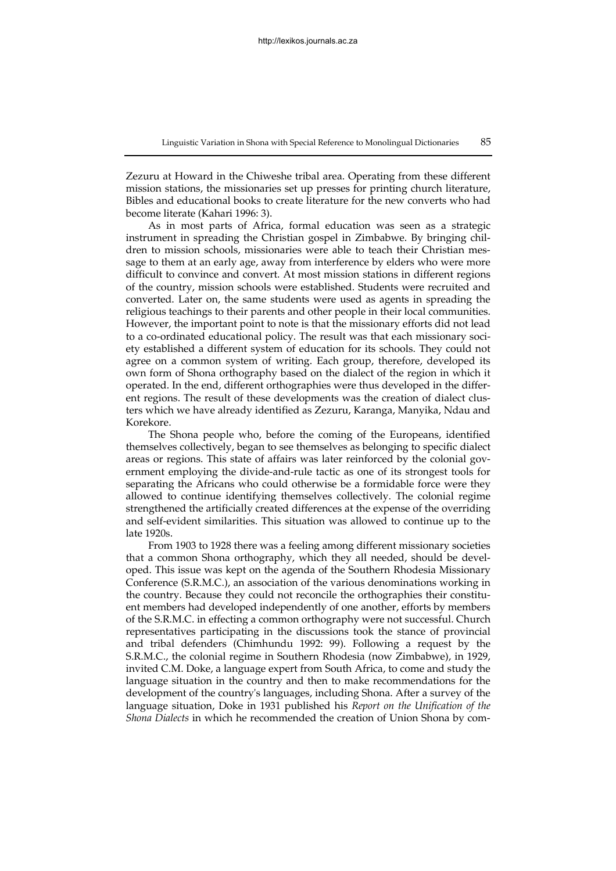Zezuru at Howard in the Chiweshe tribal area. Operating from these different mission stations, the missionaries set up presses for printing church literature, Bibles and educational books to create literature for the new converts who had become literate (Kahari 1996: 3).

As in most parts of Africa, formal education was seen as a strategic instrument in spreading the Christian gospel in Zimbabwe. By bringing children to mission schools, missionaries were able to teach their Christian message to them at an early age, away from interference by elders who were more difficult to convince and convert. At most mission stations in different regions of the country, mission schools were established. Students were recruited and converted. Later on, the same students were used as agents in spreading the religious teachings to their parents and other people in their local communities. However, the important point to note is that the missionary efforts did not lead to a co-ordinated educational policy. The result was that each missionary society established a different system of education for its schools. They could not agree on a common system of writing. Each group, therefore, developed its own form of Shona orthography based on the dialect of the region in which it operated. In the end, different orthographies were thus developed in the different regions. The result of these developments was the creation of dialect clusters which we have already identified as Zezuru, Karanga, Manyika, Ndau and Korekore.

The Shona people who, before the coming of the Europeans, identified themselves collectively, began to see themselves as belonging to specific dialect areas or regions. This state of affairs was later reinforced by the colonial government employing the divide-and-rule tactic as one of its strongest tools for separating the Africans who could otherwise be a formidable force were they allowed to continue identifying themselves collectively. The colonial regime strengthened the artificially created differences at the expense of the overriding and self-evident similarities. This situation was allowed to continue up to the late 1920s.

From 1903 to 1928 there was a feeling among different missionary societies that a common Shona orthography, which they all needed, should be developed. This issue was kept on the agenda of the Southern Rhodesia Missionary Conference (S.R.M.C.), an association of the various denominations working in the country. Because they could not reconcile the orthographies their constituent members had developed independently of one another, efforts by members of the S.R.M.C. in effecting a common orthography were not successful. Church representatives participating in the discussions took the stance of provincial and tribal defenders (Chimhundu 1992: 99). Following a request by the S.R.M.C., the colonial regime in Southern Rhodesia (now Zimbabwe), in 1929, invited C.M. Doke, a language expert from South Africa, to come and study the language situation in the country and then to make recommendations for the development of the country's languages, including Shona. After a survey of the language situation, Doke in 1931 published his *Report on the Unification of the Shona Dialects* in which he recommended the creation of Union Shona by com-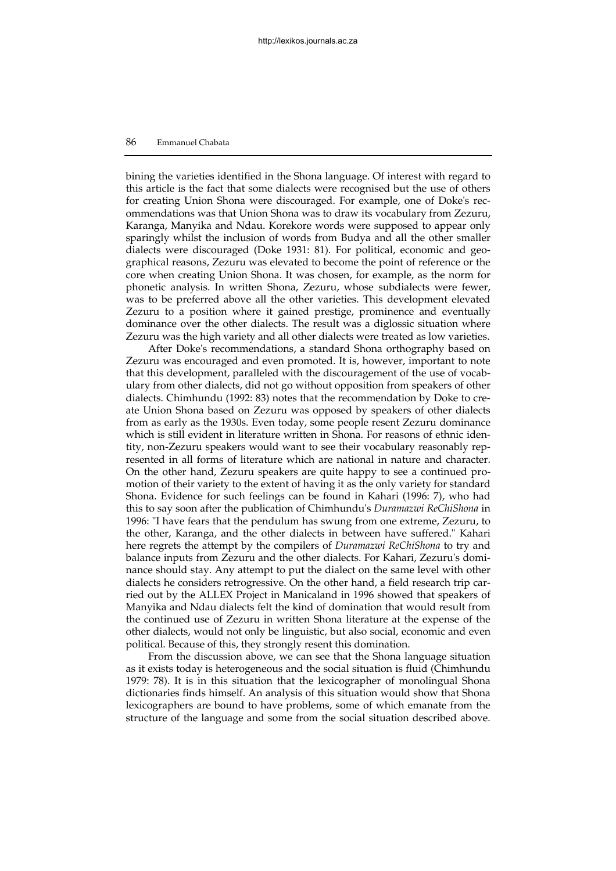bining the varieties identified in the Shona language. Of interest with regard to this article is the fact that some dialects were recognised but the use of others for creating Union Shona were discouraged. For example, one of Doke's recommendations was that Union Shona was to draw its vocabulary from Zezuru, Karanga, Manyika and Ndau. Korekore words were supposed to appear only sparingly whilst the inclusion of words from Budya and all the other smaller dialects were discouraged (Doke 1931: 81). For political, economic and geographical reasons, Zezuru was elevated to become the point of reference or the core when creating Union Shona. It was chosen, for example, as the norm for phonetic analysis. In written Shona, Zezuru, whose subdialects were fewer, was to be preferred above all the other varieties. This development elevated Zezuru to a position where it gained prestige, prominence and eventually dominance over the other dialects. The result was a diglossic situation where Zezuru was the high variety and all other dialects were treated as low varieties.

After Doke's recommendations, a standard Shona orthography based on Zezuru was encouraged and even promoted. It is, however, important to note that this development, paralleled with the discouragement of the use of vocabulary from other dialects, did not go without opposition from speakers of other dialects. Chimhundu (1992: 83) notes that the recommendation by Doke to create Union Shona based on Zezuru was opposed by speakers of other dialects from as early as the 1930s. Even today, some people resent Zezuru dominance which is still evident in literature written in Shona. For reasons of ethnic identity, non-Zezuru speakers would want to see their vocabulary reasonably represented in all forms of literature which are national in nature and character. On the other hand, Zezuru speakers are quite happy to see a continued promotion of their variety to the extent of having it as the only variety for standard Shona. Evidence for such feelings can be found in Kahari (1996: 7), who had this to say soon after the publication of Chimhundu's *Duramazwi ReChiShona* in 1996: "I have fears that the pendulum has swung from one extreme, Zezuru, to the other, Karanga, and the other dialects in between have suffered." Kahari here regrets the attempt by the compilers of *Duramazwi ReChiShona* to try and balance inputs from Zezuru and the other dialects. For Kahari, Zezuru's dominance should stay. Any attempt to put the dialect on the same level with other dialects he considers retrogressive. On the other hand, a field research trip carried out by the ALLEX Project in Manicaland in 1996 showed that speakers of Manyika and Ndau dialects felt the kind of domination that would result from the continued use of Zezuru in written Shona literature at the expense of the other dialects, would not only be linguistic, but also social, economic and even political. Because of this, they strongly resent this domination.

From the discussion above, we can see that the Shona language situation as it exists today is heterogeneous and the social situation is fluid (Chimhundu 1979: 78). It is in this situation that the lexicographer of monolingual Shona dictionaries finds himself. An analysis of this situation would show that Shona lexicographers are bound to have problems, some of which emanate from the structure of the language and some from the social situation described above.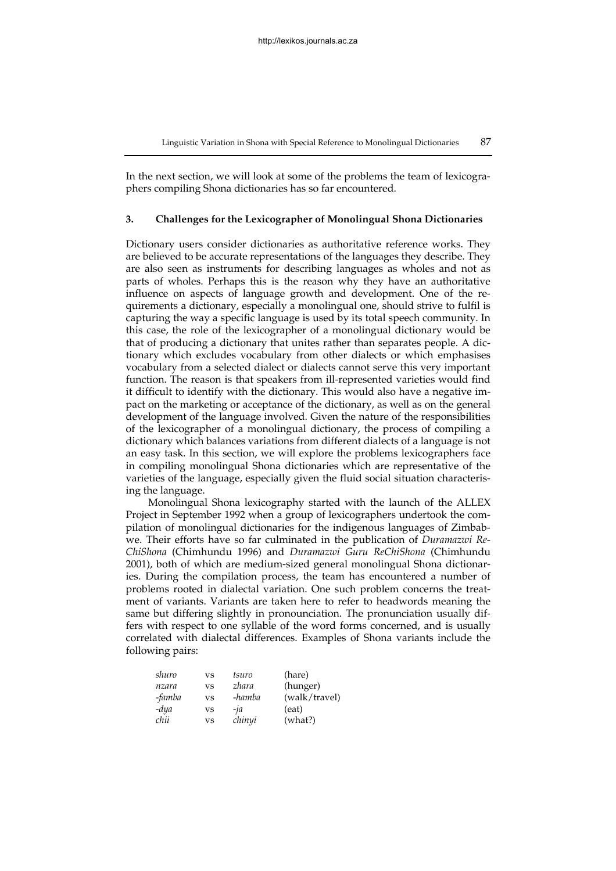In the next section, we will look at some of the problems the team of lexicographers compiling Shona dictionaries has so far encountered.

#### **3. Challenges for the Lexicographer of Monolingual Shona Dictionaries**

Dictionary users consider dictionaries as authoritative reference works. They are believed to be accurate representations of the languages they describe. They are also seen as instruments for describing languages as wholes and not as parts of wholes. Perhaps this is the reason why they have an authoritative influence on aspects of language growth and development. One of the requirements a dictionary, especially a monolingual one, should strive to fulfil is capturing the way a specific language is used by its total speech community. In this case, the role of the lexicographer of a monolingual dictionary would be that of producing a dictionary that unites rather than separates people. A dictionary which excludes vocabulary from other dialects or which emphasises vocabulary from a selected dialect or dialects cannot serve this very important function. The reason is that speakers from ill-represented varieties would find it difficult to identify with the dictionary. This would also have a negative impact on the marketing or acceptance of the dictionary, as well as on the general development of the language involved. Given the nature of the responsibilities of the lexicographer of a monolingual dictionary, the process of compiling a dictionary which balances variations from different dialects of a language is not an easy task. In this section, we will explore the problems lexicographers face in compiling monolingual Shona dictionaries which are representative of the varieties of the language, especially given the fluid social situation characterising the language.

Monolingual Shona lexicography started with the launch of the ALLEX Project in September 1992 when a group of lexicographers undertook the compilation of monolingual dictionaries for the indigenous languages of Zimbabwe. Their efforts have so far culminated in the publication of *Duramazwi Re-ChiShona* (Chimhundu 1996) and *Duramazwi Guru ReChiShona* (Chimhundu 2001), both of which are medium-sized general monolingual Shona dictionaries. During the compilation process, the team has encountered a number of problems rooted in dialectal variation. One such problem concerns the treatment of variants. Variants are taken here to refer to headwords meaning the same but differing slightly in pronounciation. The pronunciation usually differs with respect to one syllable of the word forms concerned, and is usually correlated with dialectal differences. Examples of Shona variants include the following pairs:

| shuro  | <b>VS</b> | tsuro            | (hare)        |
|--------|-----------|------------------|---------------|
| nzara  | VS        | zhara            | (hunger)      |
| -famba | <b>VS</b> | -hamba           | (walk/travel) |
| -dya   | VS        | $-i\overline{a}$ | (eat)         |
| chii   | <b>VS</b> | chinyi           | (what?)       |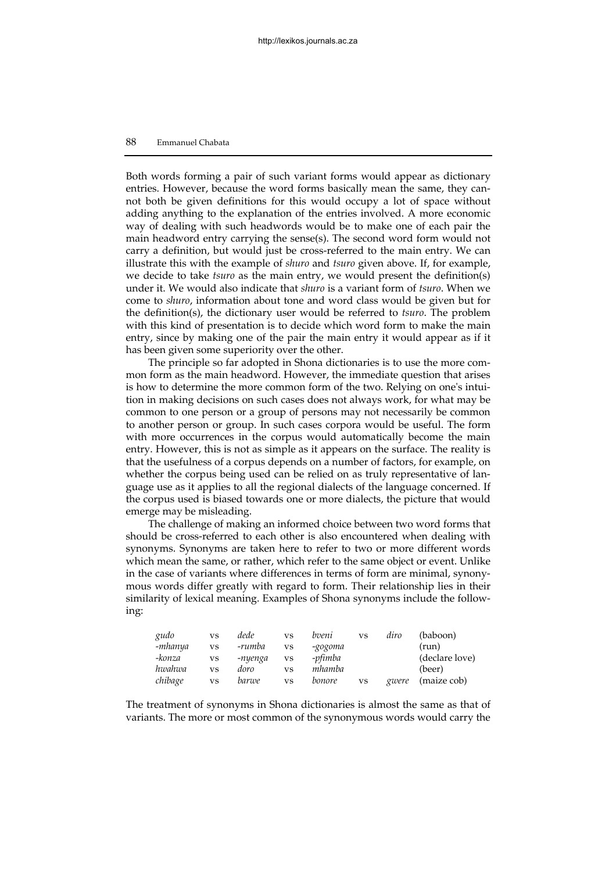Both words forming a pair of such variant forms would appear as dictionary entries. However, because the word forms basically mean the same, they cannot both be given definitions for this would occupy a lot of space without adding anything to the explanation of the entries involved. A more economic way of dealing with such headwords would be to make one of each pair the main headword entry carrying the sense(s). The second word form would not carry a definition, but would just be cross-referred to the main entry. We can illustrate this with the example of *shuro* and *tsuro* given above. If, for example, we decide to take *tsuro* as the main entry, we would present the definition(s) under it. We would also indicate that *shuro* is a variant form of *tsuro*. When we come to *shuro*, information about tone and word class would be given but for the definition(s), the dictionary user would be referred to *tsuro*. The problem with this kind of presentation is to decide which word form to make the main entry, since by making one of the pair the main entry it would appear as if it has been given some superiority over the other.

The principle so far adopted in Shona dictionaries is to use the more common form as the main headword. However, the immediate question that arises is how to determine the more common form of the two. Relying on one's intuition in making decisions on such cases does not always work, for what may be common to one person or a group of persons may not necessarily be common to another person or group. In such cases corpora would be useful. The form with more occurrences in the corpus would automatically become the main entry. However, this is not as simple as it appears on the surface. The reality is that the usefulness of a corpus depends on a number of factors, for example, on whether the corpus being used can be relied on as truly representative of language use as it applies to all the regional dialects of the language concerned. If the corpus used is biased towards one or more dialects, the picture that would emerge may be misleading.

The challenge of making an informed choice between two word forms that should be cross-referred to each other is also encountered when dealing with synonyms. Synonyms are taken here to refer to two or more different words which mean the same, or rather, which refer to the same object or event. Unlike in the case of variants where differences in terms of form are minimal, synonymous words differ greatly with regard to form. Their relationship lies in their similarity of lexical meaning. Examples of Shona synonyms include the following:

| gudo    | <b>VS</b> | dede    | <b>VS</b> | bveni   | <b>VS</b> | diro  | (baboon)       |
|---------|-----------|---------|-----------|---------|-----------|-------|----------------|
| -mhanya | <b>VS</b> | -rumba  | VS        | -gogoma |           |       | (run)          |
| -konza  | <b>VS</b> | -nyenga | <b>VS</b> | -pfimba |           |       | (declare love) |
| hwahwa  | <b>VS</b> | doro    | VS        | mhamba  |           |       | (beer)         |
| chibage | <b>VS</b> | barwe   | <b>VS</b> | bonore  | <b>VS</b> | gwere | (maize cob)    |

The treatment of synonyms in Shona dictionaries is almost the same as that of variants. The more or most common of the synonymous words would carry the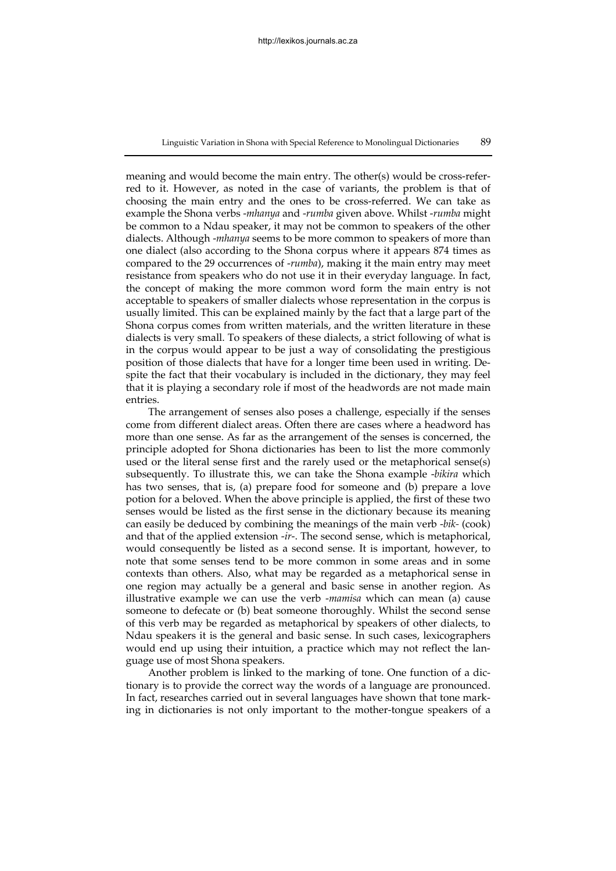meaning and would become the main entry. The other(s) would be cross-referred to it. However, as noted in the case of variants, the problem is that of choosing the main entry and the ones to be cross-referred. We can take as example the Shona verbs -*mhanya* and -*rumba* given above. Whilst -*rumba* might be common to a Ndau speaker, it may not be common to speakers of the other dialects. Although -*mhanya* seems to be more common to speakers of more than one dialect (also according to the Shona corpus where it appears 874 times as compared to the 29 occurrences of -*rumba*), making it the main entry may meet resistance from speakers who do not use it in their everyday language. In fact, the concept of making the more common word form the main entry is not acceptable to speakers of smaller dialects whose representation in the corpus is usually limited. This can be explained mainly by the fact that a large part of the Shona corpus comes from written materials, and the written literature in these dialects is very small. To speakers of these dialects, a strict following of what is in the corpus would appear to be just a way of consolidating the prestigious position of those dialects that have for a longer time been used in writing. Despite the fact that their vocabulary is included in the dictionary, they may feel that it is playing a secondary role if most of the headwords are not made main entries.

The arrangement of senses also poses a challenge, especially if the senses come from different dialect areas. Often there are cases where a headword has more than one sense. As far as the arrangement of the senses is concerned, the principle adopted for Shona dictionaries has been to list the more commonly used or the literal sense first and the rarely used or the metaphorical sense(s) subsequently. To illustrate this, we can take the Shona example -*bikira* which has two senses, that is, (a) prepare food for someone and (b) prepare a love potion for a beloved. When the above principle is applied, the first of these two senses would be listed as the first sense in the dictionary because its meaning can easily be deduced by combining the meanings of the main verb -*bik-* (cook) and that of the applied extension -*ir*-. The second sense, which is metaphorical, would consequently be listed as a second sense. It is important, however, to note that some senses tend to be more common in some areas and in some contexts than others. Also, what may be regarded as a metaphorical sense in one region may actually be a general and basic sense in another region. As illustrative example we can use the verb -*mamisa* which can mean (a) cause someone to defecate or (b) beat someone thoroughly. Whilst the second sense of this verb may be regarded as metaphorical by speakers of other dialects, to Ndau speakers it is the general and basic sense. In such cases, lexicographers would end up using their intuition, a practice which may not reflect the language use of most Shona speakers.

Another problem is linked to the marking of tone. One function of a dictionary is to provide the correct way the words of a language are pronounced. In fact, researches carried out in several languages have shown that tone marking in dictionaries is not only important to the mother-tongue speakers of a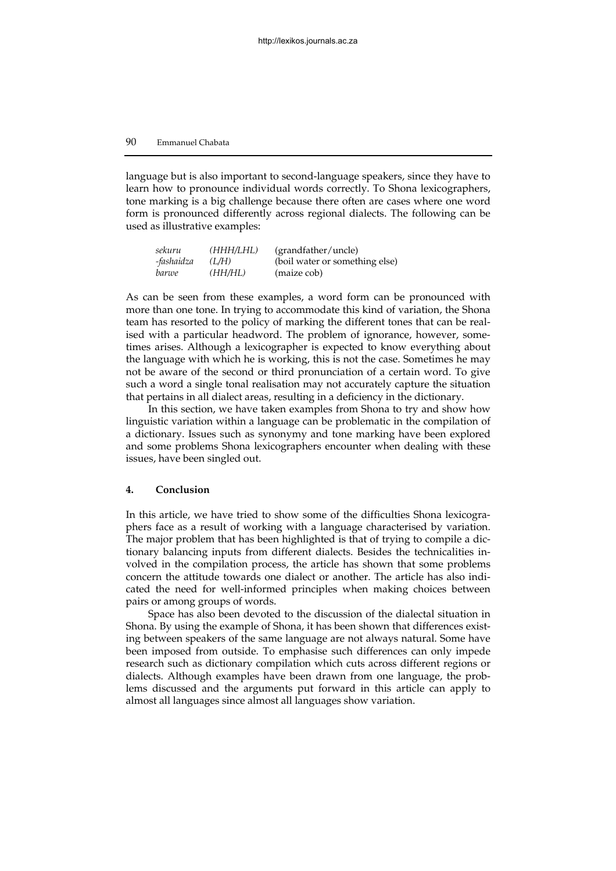language but is also important to second-language speakers, since they have to learn how to pronounce individual words correctly. To Shona lexicographers, tone marking is a big challenge because there often are cases where one word form is pronounced differently across regional dialects. The following can be used as illustrative examples:

| sekuru     | (HHH/LHL) | (grandfather/uncle)            |
|------------|-----------|--------------------------------|
| -fashaidza | (L/H)     | (boil water or something else) |
| barwe      | (HH/HL)   | (maize cob)                    |

As can be seen from these examples, a word form can be pronounced with more than one tone. In trying to accommodate this kind of variation, the Shona team has resorted to the policy of marking the different tones that can be realised with a particular headword. The problem of ignorance, however, sometimes arises. Although a lexicographer is expected to know everything about the language with which he is working, this is not the case. Sometimes he may not be aware of the second or third pronunciation of a certain word. To give such a word a single tonal realisation may not accurately capture the situation that pertains in all dialect areas, resulting in a deficiency in the dictionary.

In this section, we have taken examples from Shona to try and show how linguistic variation within a language can be problematic in the compilation of a dictionary. Issues such as synonymy and tone marking have been explored and some problems Shona lexicographers encounter when dealing with these issues, have been singled out.

#### **4. Conclusion**

In this article, we have tried to show some of the difficulties Shona lexicographers face as a result of working with a language characterised by variation. The major problem that has been highlighted is that of trying to compile a dictionary balancing inputs from different dialects. Besides the technicalities involved in the compilation process, the article has shown that some problems concern the attitude towards one dialect or another. The article has also indicated the need for well-informed principles when making choices between pairs or among groups of words.

Space has also been devoted to the discussion of the dialectal situation in Shona. By using the example of Shona, it has been shown that differences existing between speakers of the same language are not always natural. Some have been imposed from outside. To emphasise such differences can only impede research such as dictionary compilation which cuts across different regions or dialects. Although examples have been drawn from one language, the problems discussed and the arguments put forward in this article can apply to almost all languages since almost all languages show variation.